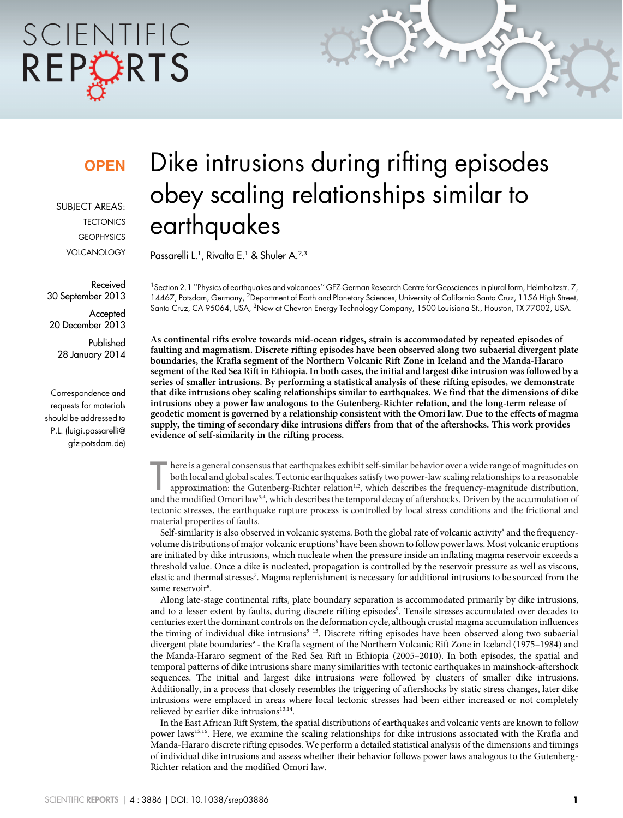# SCIENTIFIC REPORTS

### **OPEN**

SUBJECT AREAS: **TECTONICS GEOPHYSICS** VOLCANOLOGY

Received 30 September 2013

**Accepted** 20 December 2013

Published 28 January 2014

Correspondence and requests for materials should be addressed to P.L. (luigi.passarelli@ gfz-potsdam.de)

## Dike intrusions during rifting episodes obey scaling relationships similar to earthquakes

Passarelli L.<sup>1</sup>, Rivalta E.<sup>1</sup> & Shuler A.<sup>2,3</sup>

<sup>1</sup> Section 2.1 "Physics of earthquakes and volcanoes" GFZ-German Research Centre for Geosciences in plural form, Helmholtzstr. 7, 14467, Potsdam, Germany, <sup>2</sup>Department of Earth and Planetary Sciences, University of California Santa Cruz, 1156 High Street, Santa Cruz, CA 95064, USA, <sup>3</sup>Now at Chevron Energy Technology Company, 1500 Louisiana St., Houston, TX 77002, USA.

As continental rifts evolve towards mid-ocean ridges, strain is accommodated by repeated episodes of faulting and magmatism. Discrete rifting episodes have been observed along two subaerial divergent plate boundaries, the Krafla segment of the Northern Volcanic Rift Zone in Iceland and the Manda-Hararo segment of the Red Sea Rift in Ethiopia. In both cases, the initial and largest dike intrusion was followed by a series of smaller intrusions. By performing a statistical analysis of these rifting episodes, we demonstrate that dike intrusions obey scaling relationships similar to earthquakes. We find that the dimensions of dike intrusions obey a power law analogous to the Gutenberg-Richter relation, and the long-term release of geodetic moment is governed by a relationship consistent with the Omori law. Due to the effects of magma supply, the timing of secondary dike intrusions differs from that of the aftershocks. This work provides evidence of self-similarity in the rifting process.

First is a general consensus that cartifiquates exhibit sen-shinar behavior over a wide range or magnitudes on<br>both local and global scales. Tectonic earthquakes satisfy two power-law scaling relationships to a reasonable<br> here is a general consensus that earthquakes exhibit self-similar behavior over a wide range of magnitudes on both local and global scales. Tectonic earthquakes satisfy two power-law scaling relationships to a reasonable approximation: the Gutenberg-Richter relation<sup>1,2</sup>, which describes the frequency-magnitude distribution, tectonic stresses, the earthquake rupture process is controlled by local stress conditions and the frictional and material properties of faults.

Self-similarity is also observed in volcanic systems. Both the global rate of volcanic activity<sup>5</sup> and the frequencyvolume distributions of major volcanic eruptions<sup>6</sup> have been shown to follow power laws. Most volcanic eruptions are initiated by dike intrusions, which nucleate when the pressure inside an inflating magma reservoir exceeds a threshold value. Once a dike is nucleated, propagation is controlled by the reservoir pressure as well as viscous, elastic and thermal stresses<sup>7</sup>. Magma replenishment is necessary for additional intrusions to be sourced from the same reservoir<sup>8</sup>.

Along late-stage continental rifts, plate boundary separation is accommodated primarily by dike intrusions, and to a lesser extent by faults, during discrete rifting episodes<sup>9</sup>. Tensile stresses accumulated over decades to centuries exert the dominant controls on the deformation cycle, although crustal magma accumulation influences the timing of individual dike intrusions<sup>9-13</sup>. Discrete rifting episodes have been observed along two subaerial divergent plate boundaries<sup>9</sup> - the Krafla segment of the Northern Volcanic Rift Zone in Iceland (1975–1984) and the Manda-Hararo segment of the Red Sea Rift in Ethiopia (2005–2010). In both episodes, the spatial and temporal patterns of dike intrusions share many similarities with tectonic earthquakes in mainshock-aftershock sequences. The initial and largest dike intrusions were followed by clusters of smaller dike intrusions. Additionally, in a process that closely resembles the triggering of aftershocks by static stress changes, later dike intrusions were emplaced in areas where local tectonic stresses had been either increased or not completely relieved by earlier dike intrusions<sup>13,14</sup>.

In the East African Rift System, the spatial distributions of earthquakes and volcanic vents are known to follow power laws<sup>15,16</sup>. Here, we examine the scaling relationships for dike intrusions associated with the Krafla and Manda-Hararo discrete rifting episodes. We perform a detailed statistical analysis of the dimensions and timings of individual dike intrusions and assess whether their behavior follows power laws analogous to the Gutenberg-Richter relation and the modified Omori law.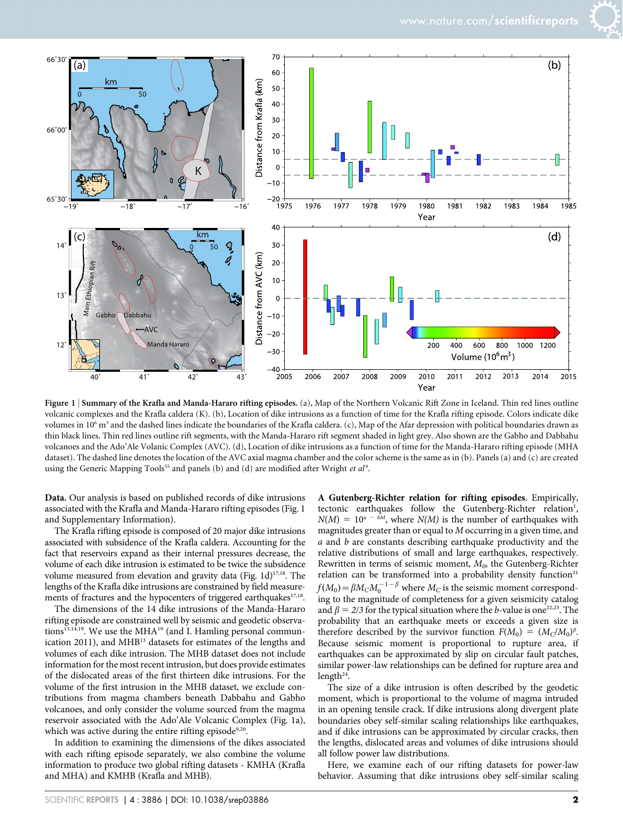

Figure 1 <sup>|</sup> Summary of the Krafla and Manda-Hararo rifting episodes. (a), Map of the Northern Volcanic Rift Zone in Iceland. Thin red lines outline volcanic complexes and the Krafla caldera (K). (b), Location of dike intrusions as a function of time for the Krafla rifting episode. Colors indicate dike volumes in  $10^6$  m<sup>3</sup> and the dashed lines indicate the boundaries of the Krafla caldera. (c), Map of the Afar depression with political boundaries drawn as thin black lines. Thin red lines outline rift segments, with the Manda-Hararo rift segment shaded in light grey. Also shown are the Gabho and Dabbahu volcanoes and the Ado'Ale Volanic Complex (AVC). (d), Location of dike intrusions as a function of time for the Manda-Hararo rifting episode (MHA dataset). The dashed line denotes the location of the AVC axial magma chamber and the color scheme is the same as in (b). Panels (a) and (c) are created using the Generic Mapping Tools<sup>55</sup> and panels (b) and (d) are modified after Wright et al<sup>9</sup>.

Data. Our analysis is based on published records of dike intrusions associated with the Krafla and Manda-Hararo rifting episodes (Fig. 1 and Supplementary Information).

The Krafla rifting episode is composed of 20 major dike intrusions associated with subsidence of the Krafla caldera. Accounting for the fact that reservoirs expand as their internal pressures decrease, the volume of each dike intrusion is estimated to be twice the subsidence volume measured from elevation and gravity data (Fig. 1d)<sup>17,18</sup>. The lengths of the Krafla dike intrusions are constrained by field measurements of fractures and the hypocenters of triggered earthquakes<sup>17,18</sup>.

The dimensions of the 14 dike intrusions of the Manda-Hararo rifting episode are constrained well by seismic and geodetic observations<sup>13,14,19</sup>. We use the MHA<sup>19</sup> (and I. Hamling personal communication 2011), and MHB<sup>13</sup> datasets for estimates of the lengths and volumes of each dike intrusion. The MHB dataset does not include information for the most recent intrusion, but does provide estimates of the dislocated areas of the first thirteen dike intrusions. For the volume of the first intrusion in the MHB dataset, we exclude contributions from magma chambers beneath Dabbahu and Gabho volcanoes, and only consider the volume sourced from the magma reservoir associated with the Ado'Ale Volcanic Complex (Fig. 1a), which was active during the entire rifting episode<sup>9,20</sup>.

In addition to examining the dimensions of the dikes associated with each rifting episode separately, we also combine the volume information to produce two global rifting datasets - KMHA (Krafla and MHA) and KMHB (Krafla and MHB).

A Gutenberg-Richter relation for rifting episodes. Empirically, tectonic earthquakes follow the Gutenberg-Richter relation<sup>1</sup>,  $N(M) = 10^{a - bM}$ , where  $N(M)$  is the number of earthquakes with magnitudes greater than or equal to M occurring in a given time, and a and b are constants describing earthquake productivity and the relative distributions of small and large earthquakes, respectively. Rewritten in terms of seismic moment,  $M<sub>0</sub>$ , the Gutenberg-Richter relation can be transformed into a probability density function<sup>21</sup>  $f(M_0)$   $=$   $\beta M_C M_0^{-1-\beta}$  where  $M_C$  is the seismic moment corresponding to the magnitude of completeness for a given seismicity catalog and  $\beta = 2/3$  for the typical situation where the b-value is one<sup>22,23</sup>. The probability that an earthquake meets or exceeds a given size is therefore described by the survivor function  $F(M_0) = (M_C/M_0)^{\beta}$ . Because seismic moment is proportional to rupture area, if earthquakes can be approximated by slip on circular fault patches, similar power-law relationships can be defined for rupture area and length $24$ .

The size of a dike intrusion is often described by the geodetic moment, which is proportional to the volume of magma intruded in an opening tensile crack. If dike intrusions along divergent plate boundaries obey self-similar scaling relationships like earthquakes, and if dike intrusions can be approximated by circular cracks, then the lengths, dislocated areas and volumes of dike intrusions should all follow power law distributions.

Here, we examine each of our rifting datasets for power-law behavior. Assuming that dike intrusions obey self-similar scaling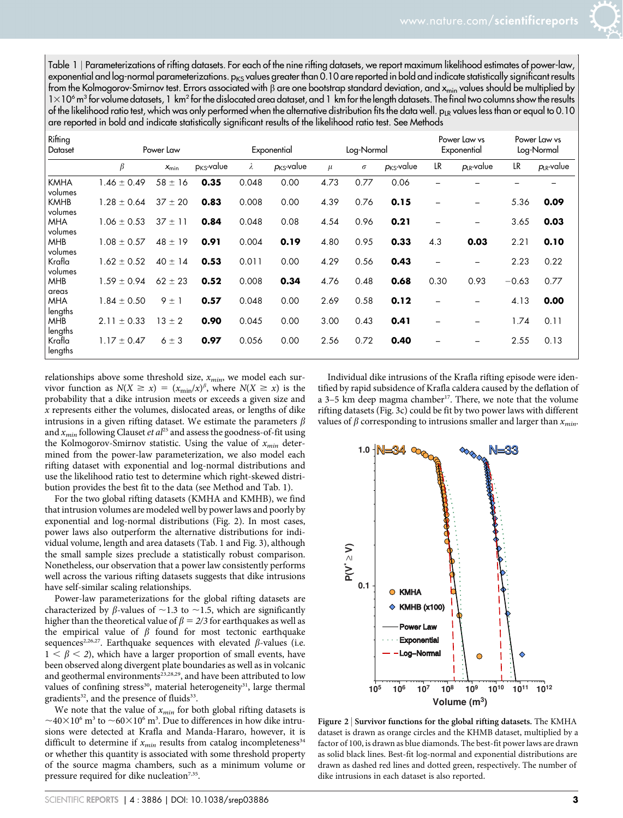Table 1 <sup>|</sup> Parameterizations of rifting datasets. For each of the nine rifting datasets, we report maximum likelihood estimates of power-law, exponential and log-normal parameterizations.  $p_{KS}$  values greater than 0.10 are reported in bold and indicate statistically significant results from the Kolmogorov-Smirnov test. Errors associated with  $\beta$  are one bootstrap standard deviation, and  $x_{min}$  values should be multiplied by  $1\times10^6$  m<sup>3</sup> for volume datasets, 1 km<sup>2</sup> for the dislocated area dataset, and 1 km for the length datasets. The final two columns show the results of the likelihood ratio test, which was only performed when the alternative distribution fits the data well. p<sub>LR</sub> values less than or equal to 0.10 are reported in bold and indicate statistically significant results of the likelihood ratio test. See Methods

| Rifting<br>Dataset     | Power Law       |             |                 | Exponential |                        | Log-Normal |          |                 | Power Law vs<br>Exponential |                 | Power Law vs<br>Log-Normal |                 |
|------------------------|-----------------|-------------|-----------------|-------------|------------------------|------------|----------|-----------------|-----------------------------|-----------------|----------------------------|-----------------|
|                        | β               | $x_{\min}$  | $p_{KS}$ -value | λ           | $p_{\text{KS}}$ -value | $\mu$      | $\sigma$ | $p_{KS}$ -value | LR                          | $p_{LR}$ -value | LR                         | $p_{LR}$ -value |
| <b>KMHA</b><br>volumes | $1.46 \pm 0.49$ | $58 \pm 16$ | 0.35            | 0.048       | 0.00                   | 4.73       | 0.77     | 0.06            |                             |                 |                            |                 |
| <b>KMHB</b><br>volumes | $1.28 \pm 0.64$ | $37 \pm 20$ | 0.83            | 0.008       | 0.00                   | 4.39       | 0.76     | 0.15            |                             |                 | 5.36                       | 0.09            |
| <b>MHA</b><br>volumes  | $1.06 \pm 0.53$ | $37 \pm 11$ | 0.84            | 0.048       | 0.08                   | 4.54       | 0.96     | 0.21            |                             |                 | 3.65                       | 0.03            |
| <b>MHB</b><br>volumes  | $1.08 \pm 0.57$ | $48 \pm 19$ | 0.91            | 0.004       | 0.19                   | 4.80       | 0.95     | 0.33            | 4.3                         | 0.03            | 2.21                       | 0.10            |
| Krafla<br>volumes      | $1.62 \pm 0.52$ | $40 \pm 14$ | 0.53            | 0.011       | 0.00                   | 4.29       | 0.56     | 0.43            |                             |                 | 2.23                       | 0.22            |
| <b>MHB</b><br>areas    | $1.59 \pm 0.94$ | $62 \pm 23$ | 0.52            | 0.008       | 0.34                   | 4.76       | 0.48     | 0.68            | 0.30                        | 0.93            | $-0.63$                    | 0.77            |
| <b>MHA</b><br>lengths  | $1.84 \pm 0.50$ | $9 \pm 1$   | 0.57            | 0.048       | 0.00                   | 2.69       | 0.58     | 0.12            |                             |                 | 4.13                       | 0.00            |
| <b>MHB</b><br>lengths  | $2.11 \pm 0.33$ | $13 \pm 2$  | 0.90            | 0.045       | 0.00                   | 3.00       | 0.43     | 0.41            |                             |                 | 1.74                       | 0.11            |
| Krafla<br>lengths      | $1.17 \pm 0.47$ | $6 \pm 3$   | 0.97            | 0.056       | 0.00                   | 2.56       | 0.72     | 0.40            |                             |                 | 2.55                       | 0.13            |

relationships above some threshold size,  $x_{min}$ , we model each survivor function as  $N(X \ge x) = (x_{\min}/x)^{\beta}$ , where  $N(X \ge x)$  is the probability that a dike intrusion meets or exceeds a given size and x represents either the volumes, dislocated areas, or lengths of dike intrusions in a given rifting dataset. We estimate the parameters  $\beta$ and  $x_{min}$  following Clauset *et al*<sup>25</sup> and assess the goodness-of-fit using the Kolmogorov-Smirnov statistic. Using the value of  $x_{min}$  determined from the power-law parameterization, we also model each rifting dataset with exponential and log-normal distributions and use the likelihood ratio test to determine which right-skewed distribution provides the best fit to the data (see Method and Tab. 1).

For the two global rifting datasets (KMHA and KMHB), we find that intrusion volumes are modeled well by power laws and poorly by exponential and log-normal distributions (Fig. 2). In most cases, power laws also outperform the alternative distributions for individual volume, length and area datasets (Tab. 1 and Fig. 3), although the small sample sizes preclude a statistically robust comparison. Nonetheless, our observation that a power law consistently performs well across the various rifting datasets suggests that dike intrusions have self-similar scaling relationships.

Power-law parameterizations for the global rifting datasets are characterized by  $\beta$ -values of  $\sim$ 1.3 to  $\sim$ 1.5, which are significantly higher than the theoretical value of  $\beta = 2/3$  for earthquakes as well as the empirical value of  $\beta$  found for most tectonic earthquake sequences<sup>2,26,27</sup>. Earthquake sequences with elevated  $\beta$ -values (i.e.  $1 < \beta < 2$ ), which have a larger proportion of small events, have been observed along divergent plate boundaries as well as in volcanic and geothermal environments<sup>23,28,29</sup>, and have been attributed to low values of confining stress<sup>30</sup>, material heterogeneity<sup>31</sup>, large thermal gradients<sup>32</sup>, and the presence of fluids<sup>33</sup>.

We note that the value of  $x_{min}$  for both global rifting datasets is  ${\sim}40{\times}10^6$  m<sup>3</sup> to  ${\sim}60{\times}10^6$  m<sup>3</sup>. Due to differences in how dike intrusions were detected at Krafla and Manda-Hararo, however, it is difficult to determine if  $x_{min}$  results from catalog incompleteness<sup>34</sup> or whether this quantity is associated with some threshold property of the source magma chambers, such as a minimum volume or pressure required for dike nucleation<sup>7,35</sup>.

Individual dike intrusions of the Krafla rifting episode were identified by rapid subsidence of Krafla caldera caused by the deflation of a  $3-5$  km deep magma chamber<sup>17</sup>. There, we note that the volume rifting datasets (Fig. 3c) could be fit by two power laws with different values of  $\beta$  corresponding to intrusions smaller and larger than  $x_{min}$ .



Figure 2 <sup>|</sup> Survivor functions for the global rifting datasets. The KMHA dataset is drawn as orange circles and the KHMB dataset, multiplied by a factor of 100, is drawn as blue diamonds. The best-fit power laws are drawn as solid black lines. Best-fit log-normal and exponential distributions are drawn as dashed red lines and dotted green, respectively. The number of dike intrusions in each dataset is also reported.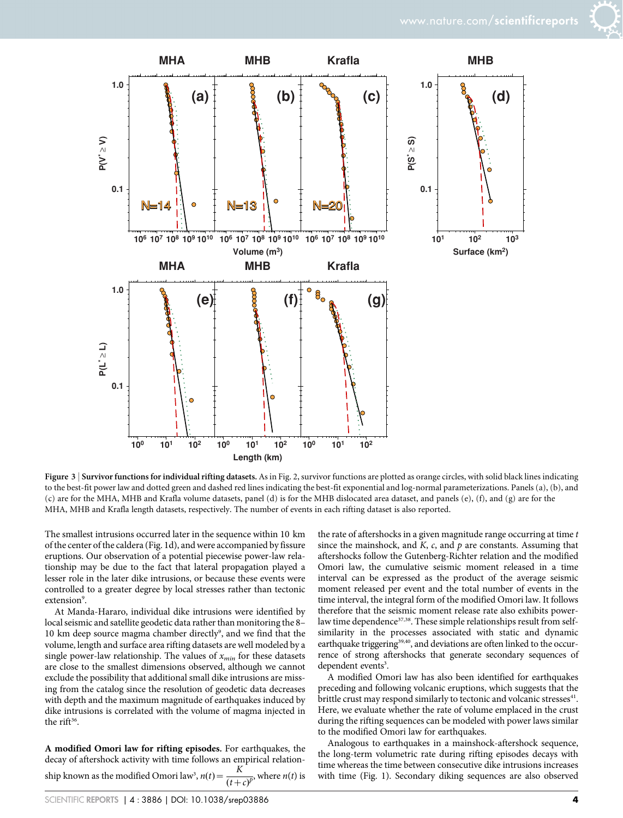

Figure 3 | Survivor functions for individual rifting datasets. As in Fig. 2, survivor functions are plotted as orange circles, with solid black lines indicating to the best-fit power law and dotted green and dashed red lines indicating the best-fit exponential and log-normal parameterizations. Panels (a), (b), and (c) are for the MHA, MHB and Krafla volume datasets, panel (d) is for the MHB dislocated area dataset, and panels (e), (f), and (g) are for the MHA, MHB and Krafla length datasets, respectively. The number of events in each rifting dataset is also reported.

The smallest intrusions occurred later in the sequence within 10 km of the center of the caldera (Fig. 1d), and were accompanied by fissure eruptions. Our observation of a potential piecewise power-law relationship may be due to the fact that lateral propagation played a lesser role in the later dike intrusions, or because these events were controlled to a greater degree by local stresses rather than tectonic extension<sup>9</sup>.

At Manda-Hararo, individual dike intrusions were identified by local seismic and satellite geodetic data rather than monitoring the 8– 10 km deep source magma chamber directly<sup>9</sup>, and we find that the volume, length and surface area rifting datasets are well modeled by a single power-law relationship. The values of  $x_{min}$  for these datasets are close to the smallest dimensions observed, although we cannot exclude the possibility that additional small dike intrusions are missing from the catalog since the resolution of geodetic data decreases with depth and the maximum magnitude of earthquakes induced by dike intrusions is correlated with the volume of magma injected in the rift<sup>36</sup>.

A modified Omori law for rifting episodes. For earthquakes, the decay of aftershock activity with time follows an empirical relationship known as the modified Omori law<sup>3</sup>,  $n(t) = \frac{K}{(t+c)^p}$ , where  $n(t)$  is

the rate of aftershocks in a given magnitude range occurring at time  $t$ since the mainshock, and  $K$ ,  $c$ , and  $p$  are constants. Assuming that aftershocks follow the Gutenberg-Richter relation and the modified Omori law, the cumulative seismic moment released in a time interval can be expressed as the product of the average seismic moment released per event and the total number of events in the time interval, the integral form of the modified Omori law. It follows therefore that the seismic moment release rate also exhibits powerlaw time dependence<sup>37,38</sup>. These simple relationships result from selfsimilarity in the processes associated with static and dynamic earthquake triggering<sup>39,40</sup>, and deviations are often linked to the occurrence of strong aftershocks that generate secondary sequences of dependent events<sup>3</sup>.

A modified Omori law has also been identified for earthquakes preceding and following volcanic eruptions, which suggests that the brittle crust may respond similarly to tectonic and volcanic stresses<sup>41</sup>. Here, we evaluate whether the rate of volume emplaced in the crust during the rifting sequences can be modeled with power laws similar to the modified Omori law for earthquakes.

Analogous to earthquakes in a mainshock-aftershock sequence, the long-term volumetric rate during rifting episodes decays with time whereas the time between consecutive dike intrusions increases with time (Fig. 1). Secondary diking sequences are also observed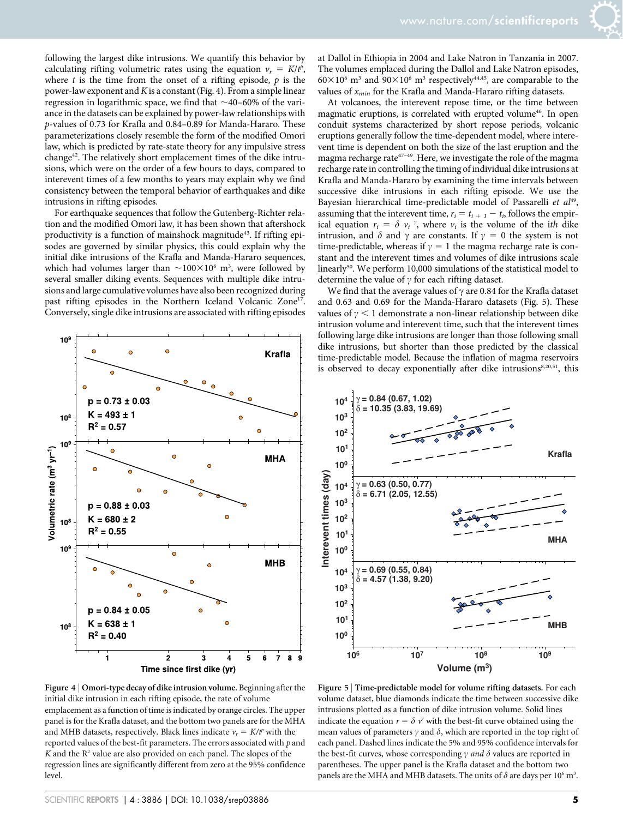following the largest dike intrusions. We quantify this behavior by calculating rifting volumetric rates using the equation  $v_r = K/t^p$ , where  $t$  is the time from the onset of a rifting episode,  $p$  is the power-law exponent and  $K$  is a constant (Fig. 4). From a simple linear regression in logarithmic space, we find that  $\sim$ 40–60% of the variance in the datasets can be explained by power-law relationships with p-values of 0.73 for Krafla and 0.84–0.89 for Manda-Hararo. These parameterizations closely resemble the form of the modified Omori law, which is predicted by rate-state theory for any impulsive stress change42. The relatively short emplacement times of the dike intrusions, which were on the order of a few hours to days, compared to interevent times of a few months to years may explain why we find consistency between the temporal behavior of earthquakes and dike intrusions in rifting episodes.

For earthquake sequences that follow the Gutenberg-Richter relation and the modified Omori law, it has been shown that aftershock productivity is a function of mainshock magnitude<sup>43</sup>. If rifting episodes are governed by similar physics, this could explain why the initial dike intrusions of the Krafla and Manda-Hararo sequences, which had volumes larger than  $\sim$ 100 $\times$ 10<sup>6</sup> m<sup>3</sup>, were followed by several smaller diking events. Sequences with multiple dike intrusions and large cumulative volumes have also been recognized during past rifting episodes in the Northern Iceland Volcanic Zone<sup>17</sup>. Conversely, single dike intrusions are associated with rifting episodes



Figure 4 <sup>|</sup> Omori-type decay of dike intrusion volume. Beginning after the initial dike intrusion in each rifting episode, the rate of volume emplacement as a function of time is indicated by orange circles. The upper panel is for the Krafla dataset, and the bottom two panels are for the MHA and MHB datasets, respectively. Black lines indicate  $v_r = K/t^p$  with the reported values of the best-fit parameters. The errors associated with  $p$  and  $K$  and the  $R<sup>2</sup>$  value are also provided on each panel. The slopes of the regression lines are significantly different from zero at the 95% confidence level.

at Dallol in Ethiopia in 2004 and Lake Natron in Tanzania in 2007. The volumes emplaced during the Dallol and Lake Natron episodes,  $60\times10^6$  m<sup>3</sup> and  $90\times10^6$  m<sup>3</sup> respectively<sup>44,45</sup>, are comparable to the values of  $x_{min}$  for the Krafla and Manda-Hararo rifting datasets.

At volcanoes, the interevent repose time, or the time between magmatic eruptions, is correlated with erupted volume<sup>46</sup>. In open conduit systems characterized by short repose periods, volcanic eruptions generally follow the time-dependent model, where interevent time is dependent on both the size of the last eruption and the magma recharge rate47–49. Here, we investigate the role of the magma recharge rate in controlling the timing of individual dike intrusions at Krafla and Manda-Hararo by examining the time intervals between successive dike intrusions in each rifting episode. We use the Bayesian hierarchical time-predictable model of Passarelli et al<sup>49</sup>, assuming that the interevent time,  $r_i = t_{i+1} - t_i$ , follows the empirical equation  $r_i = \delta v_i$ <sup>7</sup>, where  $v_i$  is the volume of the ith dike intrusion, and  $\delta$  and  $\gamma$  are constants. If  $\gamma = 0$  the system is not time-predictable, whereas if  $\gamma = 1$  the magma recharge rate is constant and the interevent times and volumes of dike intrusions scale linearly<sup>50</sup>. We perform 10,000 simulations of the statistical model to determine the value of  $\gamma$  for each rifting dataset.

We find that the average values of  $\gamma$  are 0.84 for the Krafla dataset and 0.63 and 0.69 for the Manda-Hararo datasets (Fig. 5). These values of  $\gamma$  < 1 demonstrate a non-linear relationship between dike intrusion volume and interevent time, such that the interevent times following large dike intrusions are longer than those following small dike intrusions, but shorter than those predicted by the classical time-predictable model. Because the inflation of magma reservoirs is observed to decay exponentially after dike intrusions<sup>8,20,51</sup>, this



Figure 5 <sup>|</sup> Time-predictable model for volume rifting datasets. For each volume dataset, blue diamonds indicate the time between successive dike intrusions plotted as a function of dike intrusion volume. Solid lines indicate the equation  $r = \delta v^{\nu}$  with the best-fit curve obtained using the mean values of parameters  $\gamma$  and  $\delta$ , which are reported in the top right of each panel. Dashed lines indicate the 5% and 95% confidence intervals for the best-fit curves, whose corresponding  $\gamma$  and  $\delta$  values are reported in parentheses. The upper panel is the Krafla dataset and the bottom two panels are the MHA and MHB datasets. The units of  $\delta$  are days per 10<sup>6</sup> m<sup>3</sup>.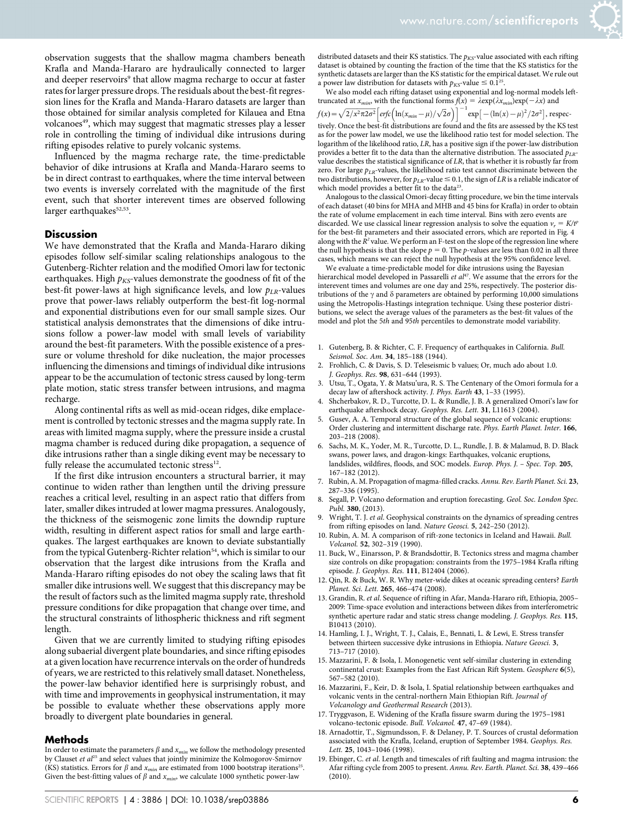observation suggests that the shallow magma chambers beneath Krafla and Manda-Hararo are hydraulically connected to larger and deeper reservoirs<sup>9</sup> that allow magma recharge to occur at faster rates for larger pressure drops. The residuals about the best-fit regression lines for the Krafla and Manda-Hararo datasets are larger than those obtained for similar analysis completed for Kilauea and Etna volcanoes<sup>49</sup>, which may suggest that magmatic stresses play a lesser role in controlling the timing of individual dike intrusions during rifting episodes relative to purely volcanic systems.

Influenced by the magma recharge rate, the time-predictable behavior of dike intrusions at Krafla and Manda-Hararo seems to be in direct contrast to earthquakes, where the time interval between two events is inversely correlated with the magnitude of the first event, such that shorter interevent times are observed following larger earthquakes $52,53$ .

#### **Discussion**

We have demonstrated that the Krafla and Manda-Hararo diking episodes follow self-similar scaling relationships analogous to the Gutenberg-Richter relation and the modified Omori law for tectonic earthquakes. High  $p_{KS}$ -values demonstrate the goodness of fit of the best-fit power-laws at high significance levels, and low  $p_{LR}$ -values prove that power-laws reliably outperform the best-fit log-normal and exponential distributions even for our small sample sizes. Our statistical analysis demonstrates that the dimensions of dike intrusions follow a power-law model with small levels of variability around the best-fit parameters. With the possible existence of a pressure or volume threshold for dike nucleation, the major processes influencing the dimensions and timings of individual dike intrusions appear to be the accumulation of tectonic stress caused by long-term plate motion, static stress transfer between intrusions, and magma recharge.

Along continental rifts as well as mid-ocean ridges, dike emplacement is controlled by tectonic stresses and the magma supply rate. In areas with limited magma supply, where the pressure inside a crustal magma chamber is reduced during dike propagation, a sequence of dike intrusions rather than a single diking event may be necessary to fully release the accumulated tectonic stress<sup>12</sup>.

If the first dike intrusion encounters a structural barrier, it may continue to widen rather than lengthen until the driving pressure reaches a critical level, resulting in an aspect ratio that differs from later, smaller dikes intruded at lower magma pressures. Analogously, the thickness of the seismogenic zone limits the downdip rupture width, resulting in different aspect ratios for small and large earthquakes. The largest earthquakes are known to deviate substantially from the typical Gutenberg-Richter relation<sup>54</sup>, which is similar to our observation that the largest dike intrusions from the Krafla and Manda-Hararo rifting episodes do not obey the scaling laws that fit smaller dike intrusions well. We suggest that this discrepancy may be the result of factors such as the limited magma supply rate, threshold pressure conditions for dike propagation that change over time, and the structural constraints of lithospheric thickness and rift segment length.

Given that we are currently limited to studying rifting episodes along subaerial divergent plate boundaries, and since rifting episodes at a given location have recurrence intervals on the order of hundreds of years, we are restricted to this relatively small dataset. Nonetheless, the power-law behavior identified here is surprisingly robust, and with time and improvements in geophysical instrumentation, it may be possible to evaluate whether these observations apply more broadly to divergent plate boundaries in general.

#### Methods

In order to estimate the parameters  $\beta$  and  $x_{min}$  we follow the methodology presented by Clauset et  $al^{25}$  and select values that jointly minimize the Kolmogorov-Smirnov (KS) statistics. Errors for  $\beta$  and  $x_{min}$  are estimated from 1000 bootstrap iterations<sup>25</sup>. Given the best-fitting values of  $\beta$  and  $x_{min}$ , we calculate 1000 synthetic power-law

distributed datasets and their KS statistics. The  $p_{KS}$ -value associated with each rifting dataset is obtained by counting the fraction of the time that the KS statistics for the synthetic datasets are larger than the KS statistic for the empirical dataset. We rule out a power law distribution for datasets with  $p_{K\!S}$  value  $\leq 0.1^{25}$ 

We also model each rifting dataset using exponential and log-normal models lefttruncated at  $x_{min}$ , with the functional forms  $f(x) = \lambda \exp(\lambda x_{min}) \exp(-\lambda x)$  and  $f(x) = \sqrt{2/x^2 \pi 2\sigma^2} \left[ erf \mathcal{C} \left( \ln(x_{min} - \mu) / \sqrt{2}\sigma \right) \right]^{-1} \exp \left[ -(\ln(x) - \mu)^2 / 2\sigma^2 \right],$  respectively. Once the best-fit distributions are found and the fits are assessed by the KS test as for the power law model, we use the likelihood ratio test for model selection. The logarithm of the likelihood ratio, LR, has a positive sign if the power-law distribution provides a better fit to the data than the alternative distribution. The associated  $p_{LR}$ value describes the statistical significance of LR, that is whether it is robustly far from zero. For large  $p_{LR}$ -values, the likelihood ratio test cannot discriminate between the two distributions, however, for  $p_{LR}$ -value  $\leq 0.1$ , the sign of LR is a reliable indicator of which model provides a better fit to the data<sup>23</sup>.

Analogous to the classical Omori-decay fitting procedure, we bin the time intervals of each dataset (40 bins for MHA and MHB and 45 bins for Krafla) in order to obtain the rate of volume emplacement in each time interval. Bins with zero events are discarded. We use classical linear regression analysis to solve the equation  $v_r = K/t^2$ for the best-fit parameters and their associated errors, which are reported in Fig. 4 along with the  $\tilde{R}^2$  value. We perform an F-test on the slope of the regression line where the null hypothesis is that the slope  $p = 0$ . The p-values are less than 0.02 in all three cases, which means we can reject the null hypothesis at the 95% confidence level.

We evaluate a time-predictable model for dike intrusions using the Bayesian hierarchical model developed in Passarelli et  $al^{47}$ . We assume that the errors for the interevent times and volumes are one day and 25%, respectively. The posterior distributions of the  $\gamma$  and  $\delta$  parameters are obtained by performing 10,000 simulations using the Metropolis-Hastings integration technique. Using these posterior distributions, we select the average values of the parameters as the best-fit values of the model and plot the 5th and 95th percentiles to demonstrate model variability.

- 1. Gutenberg, B. & Richter, C. F. Frequency of earthquakes in California. Bull. Seismol. Soc. Am. 34, 185-188 (1944).
- 2. Frohlich, C. & Davis, S. D. Teleseismic b values; Or, much ado about 1.0. J. Geophys. Res. 98, 631–644 (1993).
- 3. Utsu, T., Ogata, Y. & Matsu'ura, R. S. The Centenary of the Omori formula for a decay law of aftershock activity. J. Phys. Earth 43, 1–33 (1995).
- 4. Shcherbakov, R. D., Turcotte, D. L. & Rundle, J. B. A generalized Omori's law for earthquake aftershock decay. Geophys. Res. Lett. 31, L11613 (2004).
- Gusev, A. A. Temporal structure of the global sequence of volcanic eruptions: Order clustering and intermittent discharge rate. Phys. Earth Planet. Inter. 166, 203–218 (2008).
- 6. Sachs, M. K., Yoder, M. R., Turcotte, D. L., Rundle, J. B. & Malamud, B. D. Black swans, power laws, and dragon-kings: Earthquakes, volcanic eruptions, landslides, wildfires, floods, and SOC models. Europ. Phys. J. – Spec. Top. 205, 167–182 (2012).
- 7. Rubin, A. M. Propagation of magma-filled cracks. Annu. Rev. Earth Planet. Sci. 23, 287–336 (1995).
- 8. Segall, P. Volcano deformation and eruption forecasting. Geol. Soc. London Spec. Publ. 380, (2013).
- Wright, T. J. et al. Geophysical constraints on the dynamics of spreading centres from rifting episodes on land. Nature Geosci. 5, 242–250 (2012).
- 10. Rubin, A. M. A comparison of rift-zone tectonics in Iceland and Hawaii. Bull. Volcanol. 52, 302–319 (1990).
- 11. Buck, W., Einarsson, P. & Brandsdottir, B. Tectonics stress and magma chamber size controls on dike propagation: constraints from the 1975–1984 Krafla rifting episode. J. Geophys. Res. 111, B12404 (2006).
- 12. Qin, R. & Buck, W. R. Why meter-wide dikes at oceanic spreading centers? Earth Planet. Sci. Lett. 265, 466–474 (2008).
- 13. Grandin, R. et al. Sequence of rifting in Afar, Manda-Hararo rift, Ethiopia, 2005– 2009: Time-space evolution and interactions between dikes from interferometric synthetic aperture radar and static stress change modeling. J. Geophys. Res. 115, B10413 (2010).
- 14. Hamling, I. J., Wright, T. J., Calais, E., Bennati, L. & Lewi, E. Stress transfer between thirteen successive dyke intrusions in Ethiopia. Nature Geosci. 3, 713–717 (2010).
- 15. Mazzarini, F. & Isola, I. Monogenetic vent self-similar clustering in extending continental crust: Examples from the East African Rift System. Geosphere 6(5), 567–582 (2010).
- 16. Mazzarini, F., Keir, D. & Isola, I. Spatial relationship between earthquakes and volcanic vents in the central-northern Main Ethiopian Rift. Journal of Volcanology and Geothermal Research (2013).
- 17. Tryggvason, E. Widening of the Krafla fissure swarm during the 1975–1981 volcano-tectonic episode. Bull. Volcanol. 47, 47–69 (1984).
- 18. Arnadottir, T., Sigmundsson, F. & Delaney, P. T. Sources of crustal deformation associated with the Krafla, Iceland, eruption of September 1984. Geophys. Res. Lett. 25, 1043–1046 (1998).
- 19. Ebinger, C. et al. Length and timescales of rift faulting and magma intrusion: the Afar rifting cycle from 2005 to present. Annu. Rev. Earth. Planet. Sci. 38, 439–466  $(2010)$